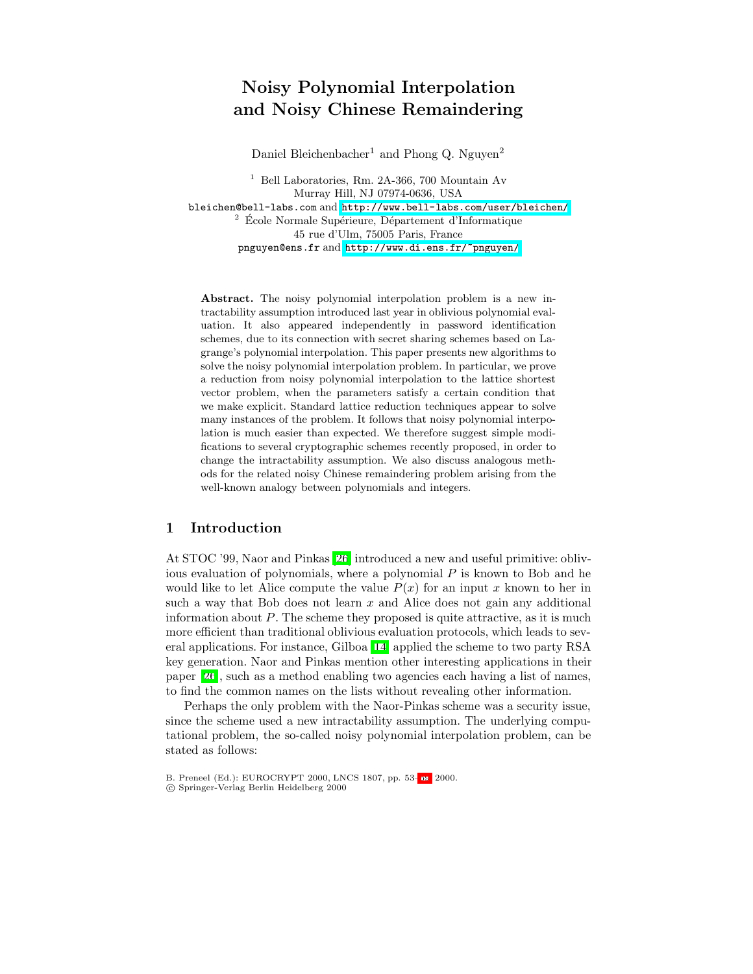# **Noisy Polynomial Interpolation and Noisy Chinese Remaindering**

Daniel Bleichenbacher<sup>1</sup> and Phong Q. Nguyen<sup>2</sup>

<sup>1</sup> Bell Laboratories, Rm. 2A-366, 700 Mountain Av Murray Hill, NJ 07974-0636, USA bleichen@bell-labs.com and <http://www.bell-labs.com/user/bleichen/>  $2 \text{ École Normale Supérieure, Département d'Informatique}$ 45 rue d'Ulm, 75005 Paris, France pnguyen@ens.fr and <http://www.di.ens.fr/~pnguyen/>

**Abstract.** The noisy polynomial interpolation problem is a new intractability assumption introduced last year in oblivious polynomial evaluation. It also appeared independently in password identification schemes, due to its connection with secret sharing schemes based on Lagrange's polynomial interpolation. This paper presents new algorithms to solve the noisy polynomial interpolation problem. In particular, we prove a reduction from noisy polynomial interpolation to the lattice shortest vector problem, when the parameters satisfy a certain condition that we make explicit. Standard lattice reduction techniques appear to solve many instances of the problem. It follows that noisy polynomial interpolation is much easier than expected. We therefore suggest simple modifications to several cryptographic schemes recently proposed, in order to change the intractability assumption. We also discuss analogous methods for the related noisy Chinese remaindering problem arising from the well-known analogy between polynomials and integers.

### **1 Introduction**

At STOC '99, Naor and Pinkas [\[26\]](#page-16-0) introduced a new and useful primitive: oblivious evaluation of polynomials, where a polynomial  $P$  is known to Bob and he would like to let Alice compute the value  $P(x)$  for an input x known to her in such a way that Bob does not learn  $x$  and Alice does not gain any additional information about  $P$ . The scheme they proposed is quite attractive, as it is much more efficient than traditional oblivious evaluation protocols, which leads to several applications. For instance, Gilboa [\[14\]](#page-15-0) applied the scheme to two party RSA key generation. Naor and Pinkas mention other interesting applications in their paper [\[26\]](#page-16-0), such as a method enabling two agencies each having a list of names, to find the common names on the lists without revealing other information.

Perhaps the only problem with the Naor-Pinkas scheme was a security issue, since the scheme used a new intractability assumption. The underlying computational problem, the so-called noisy polynomial interpolation problem, can be stated as follows: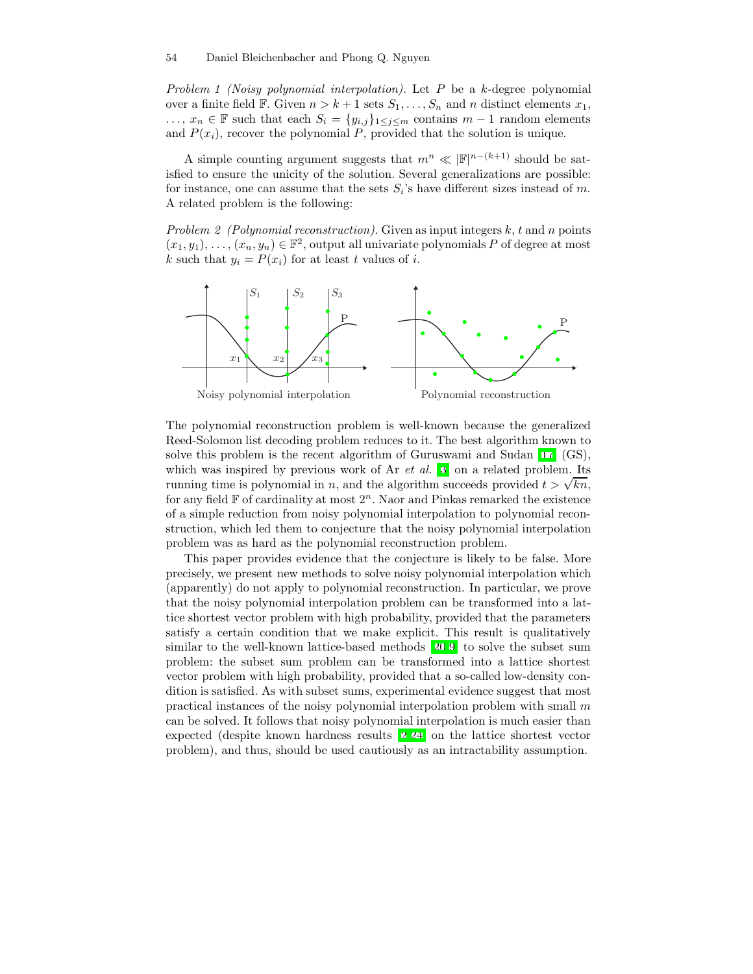*Problem 1 (Noisy polynomial interpolation).* Let P be a k-degree polynomial over a finite field F. Given  $n > k + 1$  sets  $S_1, \ldots, S_n$  and n distinct elements  $x_1$ , ...,  $x_n$  ∈ **F** such that each  $S_i = \{y_{i,j}\}_{1\leq j\leq m}$  contains  $m-1$  random elements and  $P(x_i)$ , recover the polynomial P, provided that the solution is unique.

A simple counting argument suggests that  $m^n \ll |\mathbb{F}|^{n-(k+1)}$  should be satisfied to ensure the unicity of the solution. Several generalizations are possible: for instance, one can assume that the sets  $S_i$ 's have different sizes instead of m. A related problem is the following:

*Problem 2 (Polynomial reconstruction)*. Given as input integers k, t and n points  $(x_1, y_1), \ldots, (x_n, y_n) \in \mathbb{F}^2$ , output all univariate polynomials P of degree at most k such that  $y_i = P(x_i)$  for at least t values of i.



The polynomial reconstruction problem is well-known because the generalized Reed-Solomon list decoding problem reduces to it. The best algorithm known to solve this problem is the recent algorithm of Guruswami and Sudan [\[17\]](#page-15-1) (GS), which was inspired by previous work of Ar *et al.* [\[3\]](#page-15-2) on a related problem. Its which was inspired by previous work of Ar *et al.* [3] on a related problem. Its running time is polynomial in n, and the algorithm succeeds provided  $t > \sqrt{kn}$ , for any field  $\mathbb F$  of cardinality at most  $2^n$ . Naor and Pinkas remarked the existence of a simple reduction from noisy polynomial interpolation to polynomial reconstruction, which led them to conjecture that the noisy polynomial interpolation problem was as hard as the polynomial reconstruction problem.

This paper provides evidence that the conjecture is likely to be false. More precisely, we present new methods to solve noisy polynomial interpolation which (apparently) do not apply to polynomial reconstruction. In particular, we prove that the noisy polynomial interpolation problem can be transformed into a lattice shortest vector problem with high probability, provided that the parameters satisfy a certain condition that we make explicit. This result is qualitatively similar to the well-known lattice-based methods [\[20](#page-16-2)[,9\]](#page-15-3) to solve the subset sum problem: the subset sum problem can be transformed into a lattice shortest vector problem with high probability, provided that a so-called low-density condition is satisfied. As with subset sums, experimental evidence suggest that most practical instances of the noisy polynomial interpolation problem with small  $m$ can be solved. It follows that noisy polynomial interpolation is much easier than expected (despite known hardness results [\[2,](#page-15-4)[24\]](#page-16-3) on the lattice shortest vector problem), and thus, should be used cautiously as an intractability assumption.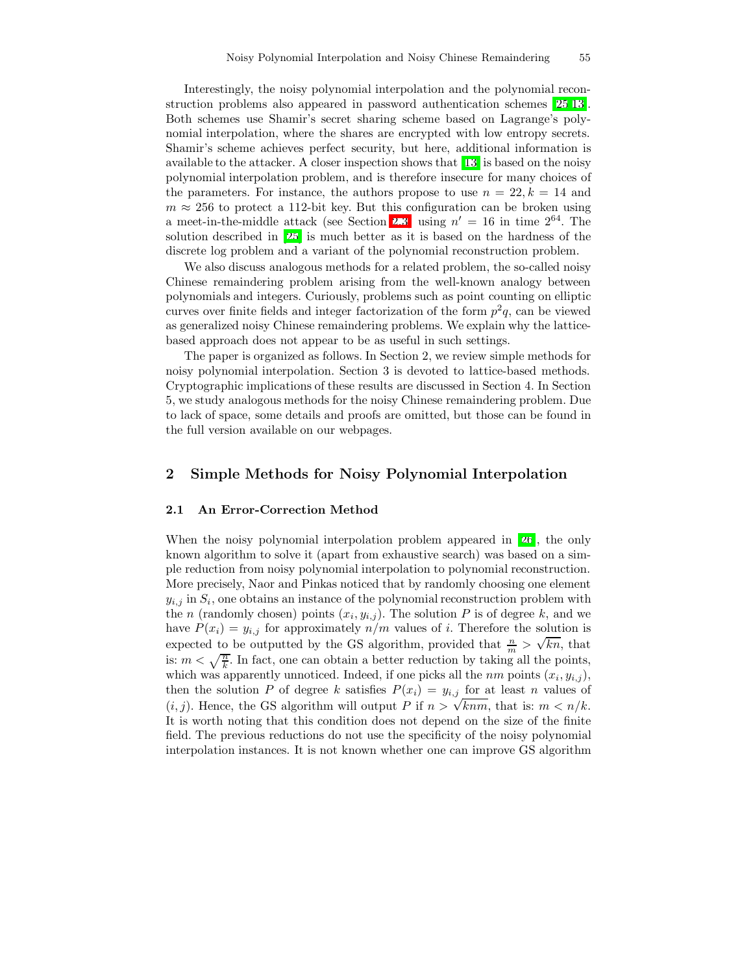Interestingly, the noisy polynomial interpolation and the polynomial reconstruction problems also appeared in password authentication schemes [\[25](#page-16-4)[,13\]](#page-15-5). Both schemes use Shamir's secret sharing scheme based on Lagrange's polynomial interpolation, where the shares are encrypted with low entropy secrets. Shamir's scheme achieves perfect security, but here, additional information is available to the attacker. A closer inspection shows that [\[13\]](#page-15-5) is based on the noisy polynomial interpolation problem, and is therefore insecure for many choices of the parameters. For instance, the authors propose to use  $n = 22, k = 14$  and  $m \approx 256$  to protect a 112-bit key. But this configuration can be broken using a meet-in-the-middle attack (see Section [2.3\)](#page-3-0) using  $n' = 16$  in time  $2^{64}$ . The solution described in [\[25\]](#page-16-4) is much better as it is based on the hardness of the discrete log problem and a variant of the polynomial reconstruction problem.

We also discuss analogous methods for a related problem, the so-called noisy Chinese remaindering problem arising from the well-known analogy between polynomials and integers. Curiously, problems such as point counting on elliptic curves over finite fields and integer factorization of the form  $p^2q$ , can be viewed as generalized noisy Chinese remaindering problems. We explain why the latticebased approach does not appear to be as useful in such settings.

The paper is organized as follows. In Section 2, we review simple methods for noisy polynomial interpolation. Section 3 is devoted to lattice-based methods. Cryptographic implications of these results are discussed in Section 4. In Section 5, we study analogous methods for the noisy Chinese remaindering problem. Due to lack of space, some details and proofs are omitted, but those can be found in the full version available on our webpages.

### **2 Simple Methods for Noisy Polynomial Interpolation**

#### <span id="page-2-0"></span>**2.1 An Error-Correction Method**

When the noisy polynomial interpolation problem appeared in [\[26\]](#page-16-0), the only known algorithm to solve it (apart from exhaustive search) was based on a simple reduction from noisy polynomial interpolation to polynomial reconstruction. More precisely, Naor and Pinkas noticed that by randomly choosing one element  $y_{i,j}$  in  $S_i$ , one obtains an instance of the polynomial reconstruction problem with the n (randomly chosen) points  $(x_i, y_{i,j})$ . The solution P is of degree k, and we have  $P(x_i) = y_{i,j}$  for approximately  $n/m$  values of i. Therefore the solution is have  $I(x_i) = y_{i,j}$  for approximately  $n/m$  values of t. Therefore the solution is<br>expected to be outputted by the GS algorithm, provided that  $\frac{n}{m} > \sqrt{kn}$ , that is:  $m < \sqrt{\frac{n}{k}}$ . In fact, one can obtain a better reduction by taking all the points, which was apparently unnoticed. Indeed, if one picks all the  $nm$  points  $(x_i, y_{i,j}),$ then the solution P of degree k satisfies  $P(x_i) = y_{i,j}$  for at least n values of then the solution F of degree k satisfies  $F(x_i) = y_{i,j}$  for at least n values of  $(i, j)$ . Hence, the GS algorithm will output P if  $n > \sqrt{knm}$ , that is:  $m < n/k$ . It is worth noting that this condition does not depend on the size of the finite field. The previous reductions do not use the specificity of the noisy polynomial interpolation instances. It is not known whether one can improve GS algorithm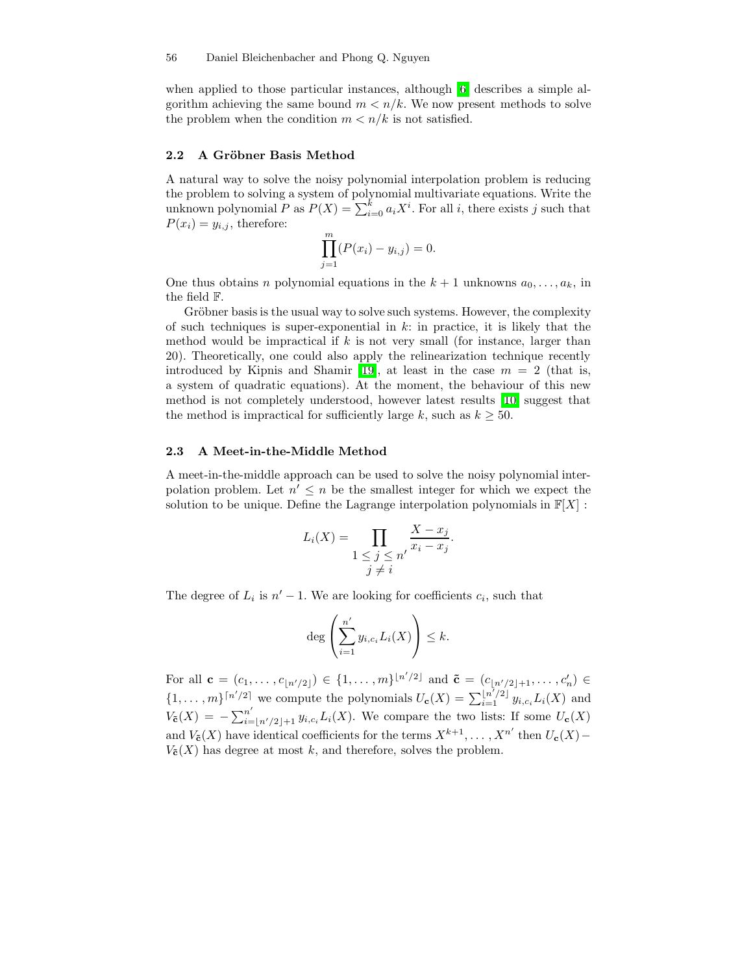when applied to those particular instances, although [\[6\]](#page-15-6) describes a simple algorithm achieving the same bound  $m < n/k$ . We now present methods to solve the problem when the condition  $m < n/k$  is not satisfied.

#### 2.2 A Gröbner Basis Method

A natural way to solve the noisy polynomial interpolation problem is reducing the problem to solving a system of polynomial multivariate equations. Write the unknown polynomial P as  $P(X) = \sum_{i=0}^{k} a_i X^i$ . For all i, there exists j such that  $P(x_i) = y_{i,j}$ , therefore:

$$
\prod_{j=1}^{m} (P(x_i) - y_{i,j}) = 0.
$$

One thus obtains n polynomial equations in the  $k + 1$  unknowns  $a_0, \ldots, a_k$ , in the field F.

Gröbner basis is the usual way to solve such systems. However, the complexity of such techniques is super-exponential in  $k$ : in practice, it is likely that the method would be impractical if  $k$  is not very small (for instance, larger than 20). Theoretically, one could also apply the relinearization technique recently introduced by Kipnis and Shamir [\[19\]](#page-15-7), at least in the case  $m = 2$  (that is, a system of quadratic equations). At the moment, the behaviour of this new method is not completely understood, however latest results [\[10\]](#page-15-8) suggest that the method is impractical for sufficiently large k, such as  $k \geq 50$ .

#### <span id="page-3-0"></span>**2.3 A Meet-in-the-Middle Method**

A meet-in-the-middle approach can be used to solve the noisy polynomial interpolation problem. Let  $n' \leq n$  be the smallest integer for which we expect the solution to be unique. Define the Lagrange interpolation polynomials in  $\mathbb{F}[X]$ :

$$
L_i(X) = \prod_{\begin{array}{c}1 \leq j \leq n'\\j \neq i\end{array}} \frac{X - x_j}{x_i - x_j}.
$$

The degree of  $L_i$  is  $n' - 1$ . We are looking for coefficients  $c_i$ , such that

$$
\deg\left(\sum_{i=1}^{n'} y_{i,c_i} L_i(X)\right) \leq k.
$$

For all  $\mathbf{c} = (c_1, \ldots, c_{\lfloor n'/2 \rfloor}) \in \{1, \ldots, m\}^{\lfloor n'/2 \rfloor}$  and  $\tilde{\mathbf{c}} = (c_{\lfloor n'/2 \rfloor + 1}, \ldots, c'_n) \in$  $\{1,\ldots,m\}^{\lceil n'/2 \rceil}$  we compute the polynomials  $U_{\bf c}(X) = \sum_{i=1}^{\lfloor n'/2 \rfloor} y_{i,c_i} L_i(X)$  and  $V_{\tilde{\mathbf{c}}}(X) = -\sum_{i=\lfloor n'/2 \rfloor+1}^{n'} y_{i,c_i} L_i(X)$ . We compare the two lists: If some  $U_{\mathbf{c}}(X)$ and  $V_{\mathbf{c}}(X)$  have identical coefficients for the terms  $X^{k+1}, \ldots, X^{n'}$  then  $U_{\mathbf{c}}(X)$  –  $V_{\tilde{\mathbf{c}}}(X)$  has degree at most k, and therefore, solves the problem.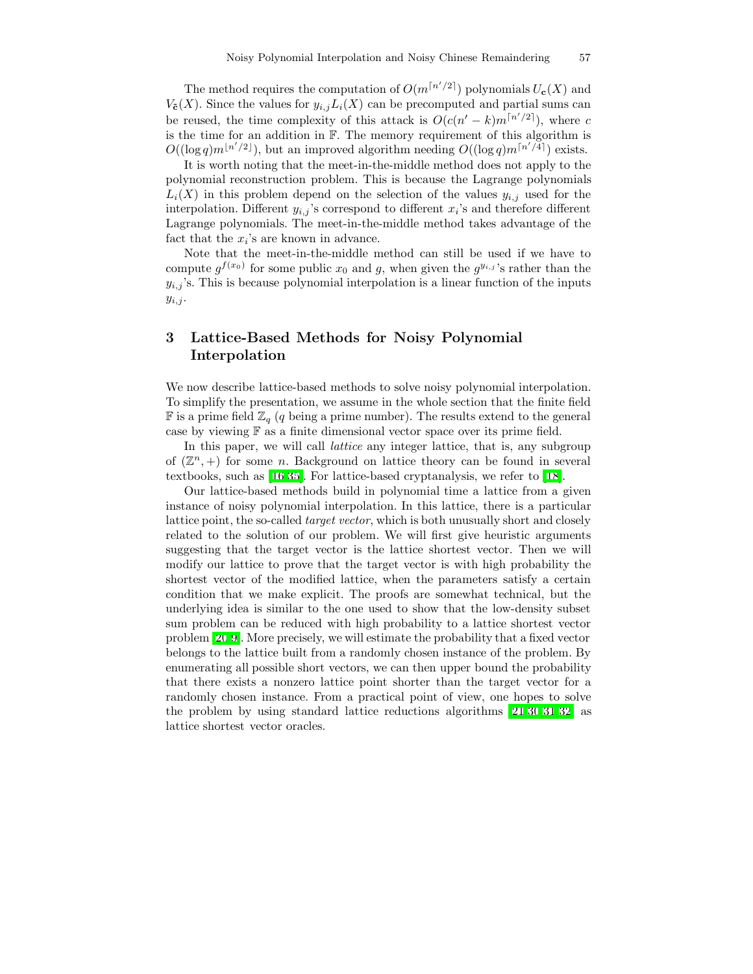The method requires the computation of  $O(m^{\lceil n'/2 \rceil})$  polynomials  $U_c(X)$  and  $V_{\tilde{\mathbf{c}}}(X)$ . Since the values for  $y_{i,j}L_i(X)$  can be precomputed and partial sums can be reused, the time complexity of this attack is  $O(c(n'-k)m^{\lceil n'/2 \rceil})$ , where c is the time for an addition in F. The memory requirement of this algorithm is  $O((\log q)m^{\lfloor n'/2 \rfloor})$ , but an improved algorithm needing  $O((\log q)m^{\lceil n'/4 \rceil})$  exists.

It is worth noting that the meet-in-the-middle method does not apply to the polynomial reconstruction problem. This is because the Lagrange polynomials  $L_i(X)$  in this problem depend on the selection of the values  $y_{i,j}$  used for the interpolation. Different  $y_{i,j}$ 's correspond to different  $x_i$ 's and therefore different Lagrange polynomials. The meet-in-the-middle method takes advantage of the fact that the  $x_i$ 's are known in advance.

Note that the meet-in-the-middle method can still be used if we have to compute  $q^{f(x_0)}$  for some public  $x_0$  and g, when given the  $q^{y_{i,j}}$ 's rather than the  $y_{i,j}$ 's. This is because polynomial interpolation is a linear function of the inputs  $y_{i,j}$ .

# <span id="page-4-0"></span>**3 Lattice-Based Methods for Noisy Polynomial Interpolation**

We now describe lattice-based methods to solve noisy polynomial interpolation. To simplify the presentation, we assume in the whole section that the finite field **F** is a prime field  $\mathbb{Z}_q$  (q being a prime number). The results extend to the general case by viewing  $\mathbb F$  as a finite dimensional vector space over its prime field.

In this paper, we will call *lattice* any integer lattice, that is, any subgroup of  $(\mathbb{Z}^n, +)$  for some n. Background on lattice theory can be found in several textbooks, such as [\[16,](#page-15-9)[35\]](#page-16-5). For lattice-based cryptanalysis, we refer to [\[18\]](#page-15-10).

Our lattice-based methods build in polynomial time a lattice from a given instance of noisy polynomial interpolation. In this lattice, there is a particular lattice point, the so-called *target vector*, which is both unusually short and closely related to the solution of our problem. We will first give heuristic arguments suggesting that the target vector is the lattice shortest vector. Then we will modify our lattice to prove that the target vector is with high probability the shortest vector of the modified lattice, when the parameters satisfy a certain condition that we make explicit. The proofs are somewhat technical, but the underlying idea is similar to the one used to show that the low-density subset sum problem can be reduced with high probability to a lattice shortest vector problem [\[20](#page-16-2)[,9\]](#page-15-3). More precisely, we will estimate the probability that a fixed vector belongs to the lattice built from a randomly chosen instance of the problem. By enumerating all possible short vectors, we can then upper bound the probability that there exists a nonzero lattice point shorter than the target vector for a randomly chosen instance. From a practical point of view, one hopes to solve the problem by using standard lattice reductions algorithms [\[21](#page-16-6)[,30](#page-16-7)[,31](#page-16-8)[,32\]](#page-16-9) as lattice shortest vector oracles.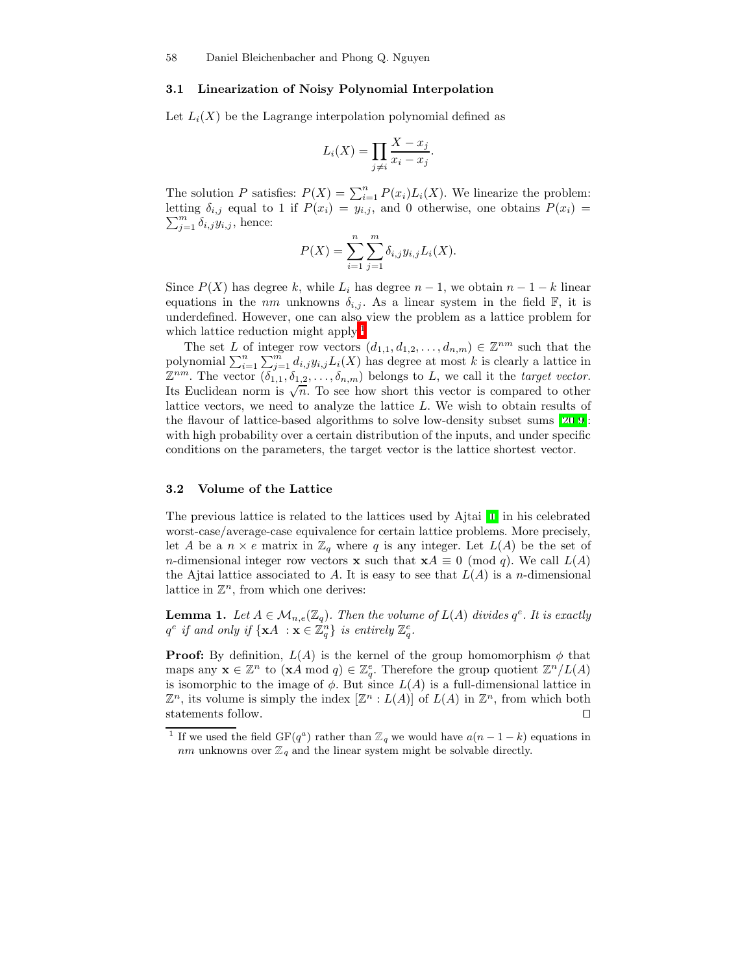#### **3.1 Linearization of Noisy Polynomial Interpolation**

Let  $L_i(X)$  be the Lagrange interpolation polynomial defined as

$$
L_i(X) = \prod_{j \neq i} \frac{X - x_j}{x_i - x_j}.
$$

The solution P satisfies:  $P(X) = \sum_{i=1}^{n} P(x_i) L_i(X)$ . We linearize the problem:  $\sum_{j=1}^m \delta_{i,j} y_{i,j}$ , hence: letting  $\delta_{i,j}$  equal to 1 if  $P(x_i) = y_{i,j}$ , and 0 otherwise, one obtains  $P(x_i) =$ 

$$
P(X) = \sum_{i=1}^{n} \sum_{j=1}^{m} \delta_{i,j} y_{i,j} L_i(X).
$$

Since  $P(X)$  has degree k, while  $L_i$  has degree  $n-1$ , we obtain  $n-1-k$  linear equations in the nm unknowns  $\delta_{i,j}$ . As a linear system in the field  $\mathbb{F}$ , it is underdefined. However, one can also view the problem as a lattice problem for which lattice reduction might apply.<sup>[1](#page-5-0)</sup>

The set L of integer row vectors  $(d_{1,1}, d_{1,2},..., d_{n,m}) \in \mathbb{Z}^{nm}$  such that the polynomial  $\sum_{i=1}^{n} \sum_{j=1}^{m} d_{i,j} y_{i,j} L_i(X)$  has degree at most k is clearly a lattice in  $\mathbb{Z}^{nm}$ . The vector  $(\delta_{1,1}, \delta_{1,2},..., \delta_{n,m})$  belongs to L, we call it the *target vector*. Its Euclidean norm is  $\sqrt{n}$ . To see how short this vector is compared to other lattice vectors, we need to analyze the lattice L. We wish to obtain results of the flavour of lattice-based algorithms to solve low-density subset sums [\[20](#page-16-2)[,9\]](#page-15-3): with high probability over a certain distribution of the inputs, and under specific conditions on the parameters, the target vector is the lattice shortest vector.

#### <span id="page-5-1"></span>**3.2 Volume of the Lattice**

The previous lattice is related to the lattices used by Ajtai [\[1\]](#page-15-11) in his celebrated worst-case/average-case equivalence for certain lattice problems. More precisely, let A be a  $n \times e$  matrix in  $\mathbb{Z}_q$  where q is any integer. Let  $L(A)$  be the set of n-dimensional integer row vectors **x** such that  $xA \equiv 0 \pmod{q}$ . We call  $L(A)$ the Ajtai lattice associated to A. It is easy to see that  $L(A)$  is a n-dimensional lattice in  $\mathbb{Z}^n$ , from which one derives:

**Lemma 1.** Let  $A \in \mathcal{M}_{n,e}(\mathbb{Z}_q)$ . Then the volume of  $L(A)$  divides  $q^e$ . It is exactly  $q^e$  if and only if  $\{xA \ : \mathbf{x} \in \mathbb{Z}_q^n\}$  is entirely  $\mathbb{Z}_q^e$ .

**Proof:** By definition,  $L(A)$  is the kernel of the group homomorphism  $\phi$  that maps any  $\mathbf{x} \in \mathbb{Z}^n$  to  $(\mathbf{x}A \bmod q) \in \mathbb{Z}_q^e$ . Therefore the group quotient  $\mathbb{Z}^n/L(A)$ is isomorphic to the image of  $\phi$ . But since  $L(A)$  is a full-dimensional lattice in  $\mathbb{Z}^n$ , its volume is simply the index  $[\mathbb{Z}^n : L(A)]$  of  $L(A)$  in  $\mathbb{Z}^n$ , from which both statements follow.  $\Box$ 

<span id="page-5-0"></span>If we used the field  $GF(q^a)$  rather than  $\mathbb{Z}_q$  we would have  $a(n-1-k)$  equations in nm unknowns over  $\mathbb{Z}_q$  and the linear system might be solvable directly.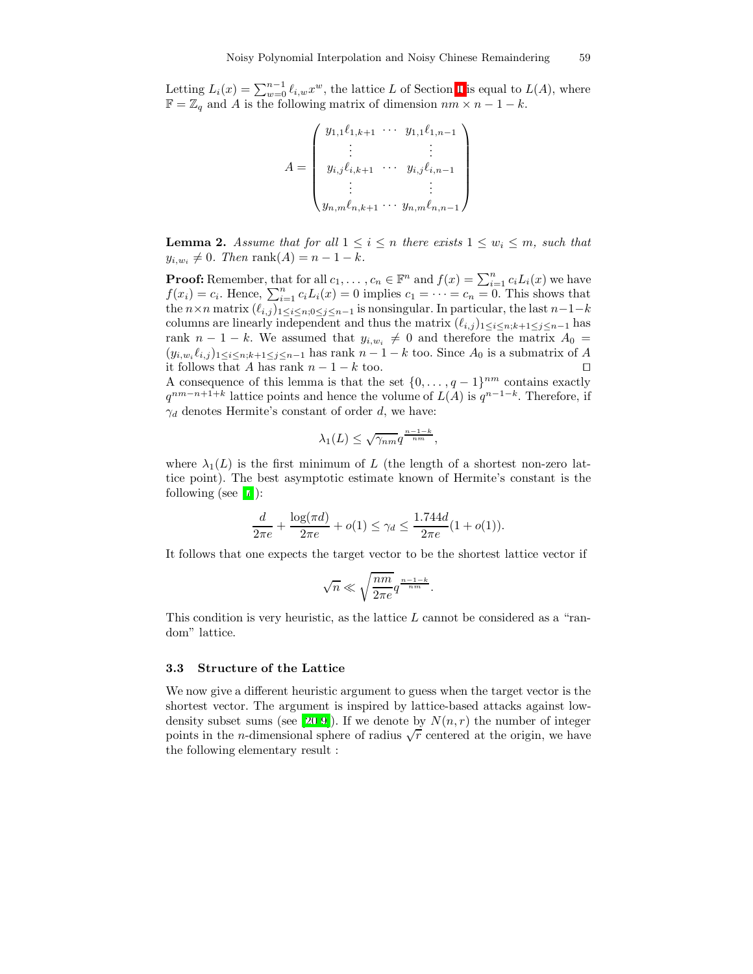Letting  $L_i(x) = \sum_{w=0}^{n-1} \ell_{i,w} x^w$ , the lattice L of Section [1](#page-5-0) is equal to  $L(A)$ , where  $\mathbb{F} = \mathbb{Z}_q$  and A is the following matrix of dimension  $nm \times n - 1 - k$ .

$$
A = \begin{pmatrix} y_{1,1}\ell_{1,k+1} & \cdots & y_{1,1}\ell_{1,n-1} \\ \vdots & & \vdots \\ y_{i,j}\ell_{i,k+1} & \cdots & y_{i,j}\ell_{i,n-1} \\ \vdots & & \vdots \\ y_{n,m}\ell_{n,k+1} & \cdots & y_{n,m}\ell_{n,n-1} \end{pmatrix}
$$

**Lemma 2.** *Assume that for all*  $1 \leq i \leq n$  *there exists*  $1 \leq w_i \leq m$ *, such that*  $y_{i,w_i} \neq 0$ . Then rank $(A) = n - 1 - k$ .

**Proof:** Remember, that for all  $c_1, \ldots, c_n \in \mathbb{F}^n$  and  $f(x) = \sum_{i=1}^n c_i L_i(x)$  we have  $f(x_i) = c_i$ . Hence,  $\sum_{i=1}^n c_i L_i(x) = 0$  implies  $c_1 = \cdots = c_n = 0$ . This shows that the  $n \times n$  matrix  $(\ell_{i,j})_{1 \leq i \leq n, 0 \leq j \leq n-1}$  is nonsingular. In particular, the last  $n-1-k$ columns are linearly independent and thus the matrix  $(\ell_{i,j})_{1\leq i\leq n; k+1\leq j\leq n-1}$  has rank  $n-1-k$ . We assumed that  $y_{i,w_i} \neq 0$  and therefore the matrix  $A_0 =$  $(y_{i,w_i} \ell_{i,j})_{1 \leq i \leq n; k+1 \leq j \leq n-1}$  has rank  $n-1-k$  too. Since  $A_0$  is a submatrix of A it follows that A has rank  $n-1-k$  too.  $\Box$ 

A consequence of this lemma is that the set  $\{0,\ldots,q-1\}^{nm}$  contains exactly  $q^{nm-n+1+k}$  lattice points and hence the volume of  $L(A)$  is  $q^{n-1-k}$ . Therefore, if  $\gamma_d$  denotes Hermite's constant of order d, we have:

$$
\lambda_1(L) \leq \sqrt{\gamma_{nm}} q^{\frac{n-1-k}{nm}},
$$

where  $\lambda_1(L)$  is the first minimum of L (the length of a shortest non-zero lattice point). The best asymptotic estimate known of Hermite's constant is the following (see [\[7\]](#page-15-12)):

$$
\frac{d}{2\pi e} + \frac{\log(\pi d)}{2\pi e} + o(1) \le \gamma_d \le \frac{1.744d}{2\pi e} (1 + o(1)).
$$

It follows that one expects the target vector to be the shortest lattice vector if

$$
\sqrt{n} \ll \sqrt{\frac{nm}{2\pi e}} q^{\frac{n-1-k}{nm}}.
$$

This condition is very heuristic, as the lattice  $L$  cannot be considered as a "random" lattice.

#### <span id="page-6-0"></span>**3.3 Structure of the Lattice**

We now give a different heuristic argument to guess when the target vector is the shortest vector. The argument is inspired by lattice-based attacks against low-density subset sums (see [\[20](#page-16-2)[,9\]](#page-15-3)). If we denote by  $N(n,r)$  the number of integer points in the *n*-dimensional sphere of radius  $\sqrt{r}$  centered at the origin, we have the following elementary result :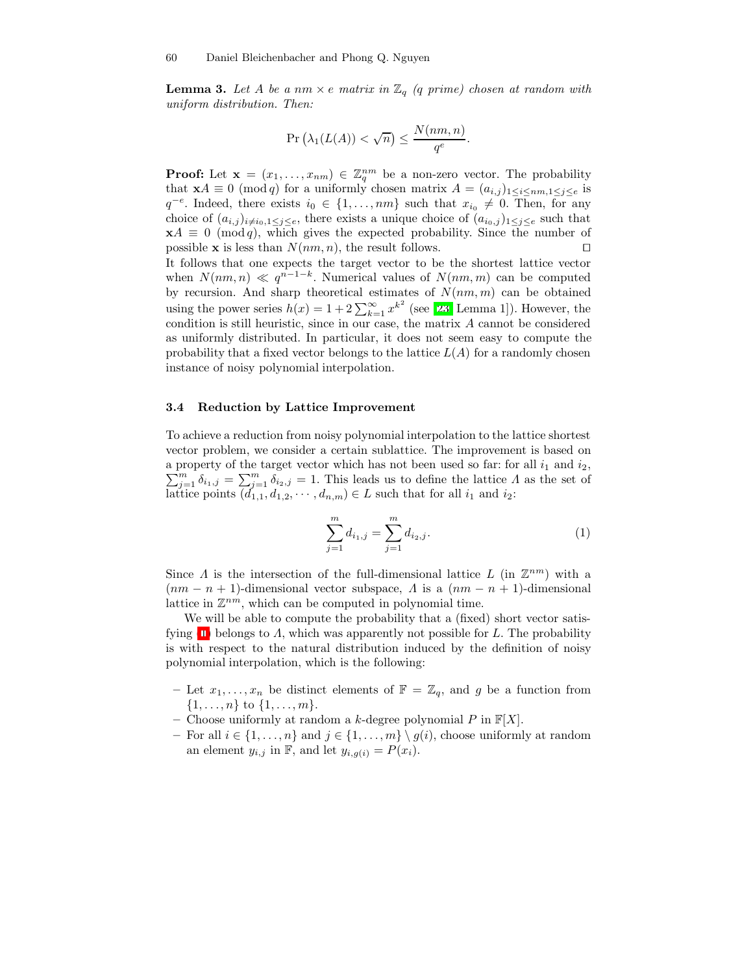**Lemma 3.** Let A be a nm  $\times$  e matrix in  $\mathbb{Z}_q$  (q prime) chosen at random with *uniform distribution. Then:*

$$
\Pr\left(\lambda_1(L(A)) < \sqrt{n}\right) \le \frac{N(nm, n)}{q^e}.
$$

**Proof:** Let  $\mathbf{x} = (x_1, \ldots, x_{nm}) \in \mathbb{Z}_q^{nm}$  be a non-zero vector. The probability that **x** $A \equiv 0 \pmod{q}$  for a uniformly chosen matrix  $A = (a_{i,j})_{1 \leq i \leq n} \leq j \leq e$  is  $q^{-e}$ . Indeed, there exists  $i_0 \in \{1, \ldots, nm\}$  such that  $x_{i_0} \neq 0$ . Then, for any choice of  $(a_{i,j})_{i\neq i_0,1\leq j\leq e}$ , there exists a unique choice of  $(a_{i_0,j})_{1\leq j\leq e}$  such that  $xA \equiv 0 \pmod{q}$ , which gives the expected probability. Since the number of possible **x** is less than  $N(nm, n)$ , the result follows.

It follows that one expects the target vector to be the shortest lattice vector when  $N(nm, n) \ll q^{n-1-k}$ . Numerical values of  $N(nm, m)$  can be computed by recursion. And sharp theoretical estimates of  $N(nm, m)$  can be obtained using the power series  $h(x) = 1+2\sum_{k=1}^{\infty} x^{k^2}$  (see [\[23,](#page-16-10) Lemma 1]). However, the condition is still heuristic, since in our case, the matrix A cannot be considered as uniformly distributed. In particular, it does not seem easy to compute the probability that a fixed vector belongs to the lattice  $L(A)$  for a randomly chosen instance of noisy polynomial interpolation.

#### <span id="page-7-1"></span>**3.4 Reduction by Lattice Improvement**

To achieve a reduction from noisy polynomial interpolation to the lattice shortest vector problem, we consider a certain sublattice. The improvement is based on  $\sum_{j=1}^{m} \delta_{i_1,j} = \sum_{j=1}^{m} \delta_{i_2,j} = 1$ . This leads us to define the lattice  $\Lambda$  as the set of a property of the target vector which has not been used so far: for all  $i_1$  and  $i_2$ , lattice points  $(\tilde{d}_{1,1}, d_{1,2}, \cdots, d_{n,m}) \in L$  such that for all  $i_1$  and  $i_2$ :

<span id="page-7-0"></span>
$$
\sum_{j=1}^{m} d_{i_1,j} = \sum_{j=1}^{m} d_{i_2,j}.
$$
 (1)

Since  $\Lambda$  is the intersection of the full-dimensional lattice  $L$  (in  $\mathbb{Z}^{nm}$ ) with a  $(nm - n + 1)$ -dimensional vector subspace,  $\Lambda$  is a  $(nm - n + 1)$ -dimensional lattice in  $\mathbb{Z}^{nm}$ , which can be computed in polynomial time.

We will be able to compute the probability that a (fixed) short vector satis-fying [\(1\)](#page-7-0) belongs to  $\Lambda$ , which was apparently not possible for L. The probability is with respect to the natural distribution induced by the definition of noisy polynomial interpolation, which is the following:

- Let  $x_1, \ldots, x_n$  be distinct elements of  $\mathbb{F} = \mathbb{Z}_q$ , and g be a function from  $\{1,\ldots,n\}$  to  $\{1,\ldots,m\}$ .
- **–** Choose uniformly at random a k-degree polynomial P in F[X].
- $-$  For all  $i \in \{1, ..., n\}$  and  $j \in \{1, ..., m\} \setminus g(i)$ , choose uniformly at random an element  $y_{i,j}$  in F, and let  $y_{i,q(i)} = P(x_i)$ .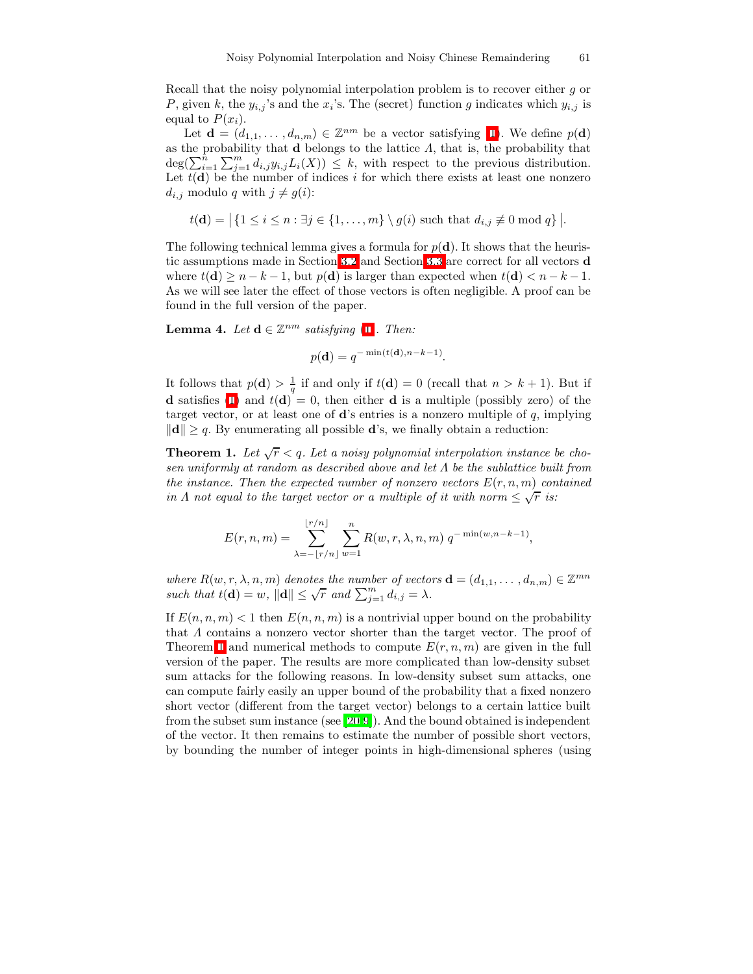Recall that the noisy polynomial interpolation problem is to recover either g or P, given k, the  $y_{i,j}$ 's and the  $x_i$ 's. The (secret) function g indicates which  $y_{i,j}$  is equal to  $P(x_i)$ .

Let **d** =  $(d_{1,1},...,d_{n,m}) \in \mathbb{Z}^{nm}$  be a vector satisfying [\(1\)](#page-7-0). We define  $p(\mathbf{d})$ as the probability that **d** belongs to the lattice Λ, that is, the probability that  $\deg(\sum_{i=1}^n \sum_{j=1}^m d_{i,j} y_{i,j} L_i(X)) \leq k$ , with respect to the previous distribution. Let  $\overline{t(d)}$  be the number of indices i for which there exists at least one nonzero  $d_{i,j}$  modulo q with  $j \neq g(i)$ :

$$
t(\mathbf{d}) = \left| \{ 1 \leq i \leq n : \exists j \in \{1, \ldots, m\} \setminus g(i) \text{ such that } d_{i,j} \not\equiv 0 \text{ mod } q \} \right|.
$$

The following technical lemma gives a formula for  $p(\mathbf{d})$ . It shows that the heuristic assumptions made in Section [3.2](#page-5-1) and Section [3.3](#page-6-0) are correct for all vectors **d** where  $t(\mathbf{d}) \geq n - k - 1$ , but  $p(\mathbf{d})$  is larger than expected when  $t(\mathbf{d}) < n - k - 1$ . As we will see later the effect of those vectors is often negligible. A proof can be found in the full version of the paper.

**Lemma 4.** Let  $\mathbf{d} \in \mathbb{Z}^{nm}$  *satisfying* [\(1\)](#page-7-0). Then:

<span id="page-8-1"></span><span id="page-8-0"></span>
$$
p(\mathbf{d}) = q^{-\min(t(\mathbf{d}), n-k-1)}.
$$

It follows that  $p(\mathbf{d}) > \frac{1}{q}$  if and only if  $t(\mathbf{d}) = 0$  (recall that  $n > k + 1$ ). But if **d** satisfies [\(1\)](#page-7-0) and  $t(d) = 0$ , then either **d** is a multiple (possibly zero) of the target vector, or at least one of **d**'s entries is a nonzero multiple of q, implying  $\|\mathbf{d}\| \geq q$ . By enumerating all possible **d**'s, we finally obtain a reduction:

**Theorem 1.** Let  $\sqrt{r} < q$ . Let a noisy polynomial interpolation instance be cho*sen uniformly at random as described above and let* Λ *be the sublattice built from the instance. Then the expected number of nonzero vectors* E(r, n, m) *contained in*  $\Lambda$  *not equal to the target vector or a multiple of it with norm*  $\leq \sqrt{r}$  *is:* 

$$
E(r, n, m) = \sum_{\lambda=-\lfloor r/n \rfloor}^{\lfloor r/n \rfloor} \sum_{w=1}^{n} R(w, r, \lambda, n, m) q^{-\min(w, n-k-1)},
$$

*where*  $R(w, r, \lambda, n, m)$  *denotes the number of vectors*  $\mathbf{d} = (d_{1,1}, \ldots, d_{n,m}) \in \mathbb{Z}^{mn}$ <br>*such that*  $t(\mathbf{d}) = w$ ,  $\|\mathbf{d}\| \leq \sqrt{r}$  *and*  $\sum_{j=1}^{m} d_{i,j} = \lambda$ .

If  $E(n, n, m) < 1$  then  $E(n, n, m)$  is a nontrivial upper bound on the probability that  $\Lambda$  contains a nonzero vector shorter than the target vector. The proof of Theorem [1](#page-8-0) and numerical methods to compute  $E(r, n, m)$  are given in the full version of the paper. The results are more complicated than low-density subset sum attacks for the following reasons. In low-density subset sum attacks, one can compute fairly easily an upper bound of the probability that a fixed nonzero short vector (different from the target vector) belongs to a certain lattice built from the subset sum instance (see [\[20,](#page-16-2)[9\]](#page-15-3)). And the bound obtained is independent of the vector. It then remains to estimate the number of possible short vectors, by bounding the number of integer points in high-dimensional spheres (using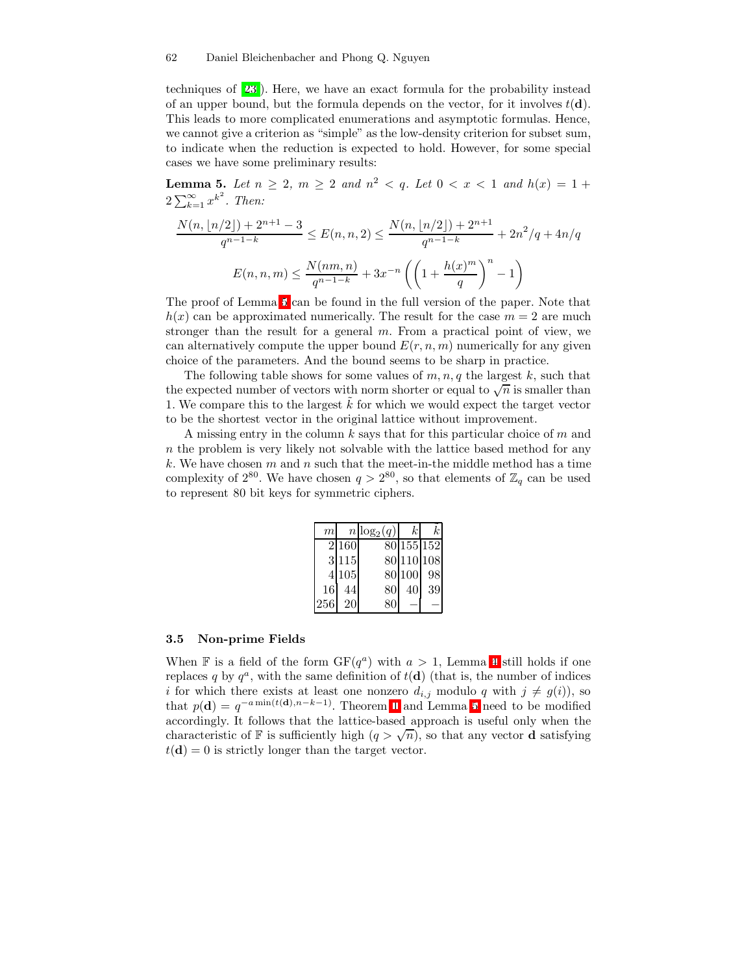techniques of [\[23\]](#page-16-10)). Here, we have an exact formula for the probability instead of an upper bound, but the formula depends on the vector, for it involves  $t(\mathbf{d})$ . This leads to more complicated enumerations and asymptotic formulas. Hence, we cannot give a criterion as "simple" as the low-density criterion for subset sum, to indicate when the reduction is expected to hold. However, for some special cases we have some preliminary results:

<span id="page-9-0"></span>**Lemma 5.** Let  $n \ge 2$ ,  $m \ge 2$  and  $n^2 < q$ . Let  $0 < x < 1$  and  $h(x) = 1 +$  $2\sum_{k=1}^{\infty}x^{k^2}$ . Then:

$$
\frac{N(n, \lfloor n/2 \rfloor) + 2^{n+1} - 3}{q^{n-1-k}} \le E(n, n, 2) \le \frac{N(n, \lfloor n/2 \rfloor) + 2^{n+1}}{q^{n-1-k}} + 2n^2/q + 4n/q
$$

$$
E(n, n, m) \le \frac{N(nm, n)}{q^{n-1-k}} + 3x^{-n} \left( \left(1 + \frac{h(x)^m}{q}\right)^n - 1\right)
$$

The proof of Lemma [5](#page-9-0) can be found in the full version of the paper. Note that  $h(x)$  can be approximated numerically. The result for the case  $m = 2$  are much stronger than the result for a general  $m$ . From a practical point of view, we can alternatively compute the upper bound  $E(r, n, m)$  numerically for any given choice of the parameters. And the bound seems to be sharp in practice.

The following table shows for some values of  $m, n, q$  the largest k, such that the expected number of vectors with norm shorter or equal to  $\sqrt{n}$  is smaller than 1. We compare this to the largest  $\tilde{k}$  for which we would expect the target vector to be the shortest vector in the original lattice without improvement.

A missing entry in the column  $k$  says that for this particular choice of  $m$  and n the problem is very likely not solvable with the lattice based method for any k. We have chosen m and n such that the meet-in-the middle method has a time complexity of  $2^{80}$ . We have chosen  $q > 2^{80}$ , so that elements of  $\mathbb{Z}_q$  can be used to represent 80 bit keys for symmetric ciphers.

| $\boldsymbol{m}$ |         | $n\log_2(q)$ | $\kappa$   | $k_{\cdot}$           |
|------------------|---------|--------------|------------|-----------------------|
|                  | 2 160   |              |            | $80\overline{155}152$ |
|                  | 3 1 1 5 |              | 80 110 108 |                       |
|                  | 4 105   |              | 80 100     | 98                    |
| 16               | 44      | 80           | 40         | 39                    |
| 256              | 20      | 80           |            |                       |

#### **3.5 Non-prime Fields**

When F is a field of the form  $GF(q^a)$  with  $a > 1$ , Lemma [4](#page-8-1) still holds if one replaces q by  $q^a$ , with the same definition of  $t(\mathbf{d})$  (that is, the number of indices i for which there exists at least one nonzero  $d_{i,j}$  modulo q with  $j \neq g(i)$ , so that  $p(\mathbf{d}) = q^{-a \min(t(\mathbf{d}), n-k-1)}$ . Theorem [1](#page-8-0) and Lemma [5](#page-9-0) need to be modified accordingly. It follows that the lattice-based approach is useful only when the characteristic of F is sufficiently high  $(q > \sqrt{n})$ , so that any vector **d** satisfying  $t(\mathbf{d}) = 0$  is strictly longer than the target vector.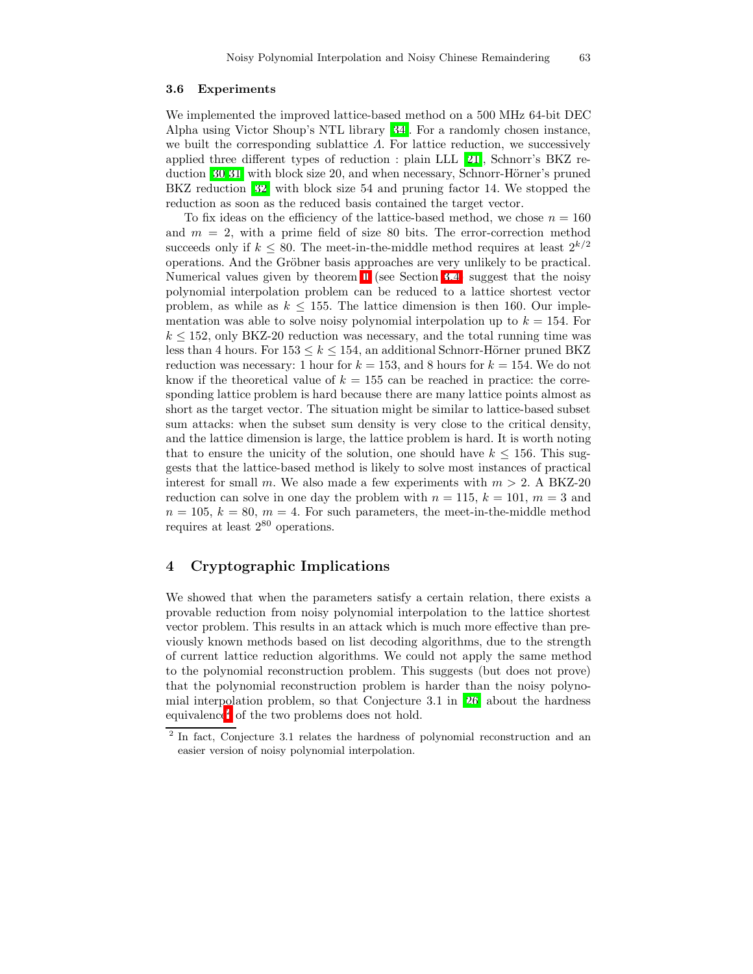#### **3.6 Experiments**

We implemented the improved lattice-based method on a 500 MHz 64-bit DEC Alpha using Victor Shoup's NTL library [\[34\]](#page-16-11). For a randomly chosen instance, we built the corresponding sublattice  $\Lambda$ . For lattice reduction, we successively applied three different types of reduction : plain LLL [\[21\]](#page-16-6), Schnorr's BKZ reduction  $[30,31]$  $[30,31]$  with block size 20, and when necessary, Schnorr-Hörner's pruned BKZ reduction [\[32\]](#page-16-9) with block size 54 and pruning factor 14. We stopped the reduction as soon as the reduced basis contained the target vector.

To fix ideas on the efficiency of the lattice-based method, we chose  $n = 160$ and  $m = 2$ , with a prime field of size 80 bits. The error-correction method succeeds only if  $k \leq 80$ . The meet-in-the-middle method requires at least  $2^{k/2}$ operations. And the Gröbner basis approaches are very unlikely to be practical. Numerical values given by theorem [1](#page-8-0) (see Section [3.4\)](#page-7-1) suggest that the noisy polynomial interpolation problem can be reduced to a lattice shortest vector problem, as while as  $k \leq 155$ . The lattice dimension is then 160. Our implementation was able to solve noisy polynomial interpolation up to  $k = 154$ . For  $k \le 152$ , only BKZ-20 reduction was necessary, and the total running time was less than 4 hours. For  $153 \leq k \leq 154$ , an additional Schnorr-Hörner pruned BKZ reduction was necessary: 1 hour for  $k = 153$ , and 8 hours for  $k = 154$ . We do not know if the theoretical value of  $k = 155$  can be reached in practice: the corresponding lattice problem is hard because there are many lattice points almost as short as the target vector. The situation might be similar to lattice-based subset sum attacks: when the subset sum density is very close to the critical density, and the lattice dimension is large, the lattice problem is hard. It is worth noting that to ensure the unicity of the solution, one should have  $k \leq 156$ . This suggests that the lattice-based method is likely to solve most instances of practical interest for small m. We also made a few experiments with  $m > 2$ . A BKZ-20 reduction can solve in one day the problem with  $n = 115$ ,  $k = 101$ ,  $m = 3$  and  $n = 105, k = 80, m = 4$ . For such parameters, the meet-in-the-middle method requires at least  $2^{80}$  operations.

### **4 Cryptographic Implications**

We showed that when the parameters satisfy a certain relation, there exists a provable reduction from noisy polynomial interpolation to the lattice shortest vector problem. This results in an attack which is much more effective than previously known methods based on list decoding algorithms, due to the strength of current lattice reduction algorithms. We could not apply the same method to the polynomial reconstruction problem. This suggests (but does not prove) that the polynomial reconstruction problem is harder than the noisy polynomial interpolation problem, so that Conjecture 3.1 in [\[26\]](#page-16-0) about the hardness equivalence<sup>[2](#page-10-0)</sup> of the two problems does not hold.

<span id="page-10-0"></span><sup>2</sup> In fact, Conjecture 3.1 relates the hardness of polynomial reconstruction and an easier version of noisy polynomial interpolation.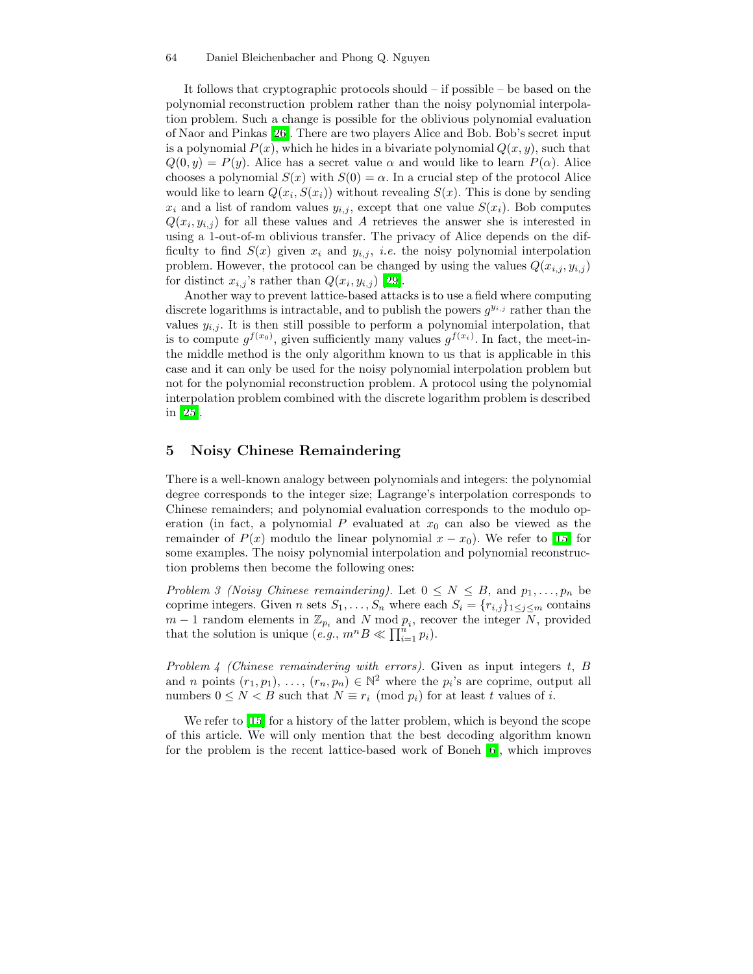It follows that cryptographic protocols should – if possible – be based on the polynomial reconstruction problem rather than the noisy polynomial interpolation problem. Such a change is possible for the oblivious polynomial evaluation of Naor and Pinkas [\[26\]](#page-16-0). There are two players Alice and Bob. Bob's secret input is a polynomial  $P(x)$ , which he hides in a bivariate polynomial  $Q(x, y)$ , such that  $Q(0, y) = P(y)$ . Alice has a secret value  $\alpha$  and would like to learn  $P(\alpha)$ . Alice chooses a polynomial  $S(x)$  with  $S(0) = \alpha$ . In a crucial step of the protocol Alice would like to learn  $Q(x_i, S(x_i))$  without revealing  $S(x)$ . This is done by sending  $x_i$  and a list of random values  $y_{i,j}$ , except that one value  $S(x_i)$ . Bob computes  $Q(x_i, y_{i,j})$  for all these values and A retrieves the answer she is interested in using a 1-out-of-m oblivious transfer. The privacy of Alice depends on the difficulty to find  $S(x)$  given  $x_i$  and  $y_{i,j}$ , *i.e.* the noisy polynomial interpolation problem. However, the protocol can be changed by using the values  $Q(x_i, y_i, j)$ for distinct  $x_{i,j}$ 's rather than  $Q(x_i, y_{i,j})$  [\[29\]](#page-16-12).

Another way to prevent lattice-based attacks is to use a field where computing discrete logarithms is intractable, and to publish the powers  $g^{y_{i,j}}$  rather than the values  $y_{i,j}$ . It is then still possible to perform a polynomial interpolation, that is to compute  $g^{f(x_0)}$ , given sufficiently many values  $g^{f(x_i)}$ . In fact, the meet-inthe middle method is the only algorithm known to us that is applicable in this case and it can only be used for the noisy polynomial interpolation problem but not for the polynomial reconstruction problem. A protocol using the polynomial interpolation problem combined with the discrete logarithm problem is described in [\[25\]](#page-16-4).

# **5 Noisy Chinese Remaindering**

There is a well-known analogy between polynomials and integers: the polynomial degree corresponds to the integer size; Lagrange's interpolation corresponds to Chinese remainders; and polynomial evaluation corresponds to the modulo operation (in fact, a polynomial P evaluated at  $x_0$  can also be viewed as the remainder of  $P(x)$  modulo the linear polynomial  $x - x_0$ ). We refer to [\[15\]](#page-15-13) for some examples. The noisy polynomial interpolation and polynomial reconstruction problems then become the following ones:

*Problem 3 (Noisy Chinese remaindering).* Let  $0 \leq N \leq B$ , and  $p_1, \ldots, p_n$  be coprime integers. Given n sets  $S_1, \ldots, S_n$  where each  $S_i = \{r_{i,j}\}_{1 \leq j \leq m}$  contains  $m-1$  random elements in  $\mathbb{Z}_{p_i}$  and N mod  $p_i$ , recover the integer N, provided that the solution is unique  $(e.g., m^n B \ll \prod_{i=1}^n p_i)$ .

*Problem 4 (Chinese remaindering with errors).* Given as input integers t, B and n points  $(r_1, p_1), \ldots, (r_n, p_n) \in \mathbb{N}^2$  where the  $p_i$ 's are coprime, output all numbers  $0 \leq N < B$  such that  $N \equiv r_i \pmod{p_i}$  for at least t values of i.

We refer to [\[15\]](#page-15-13) for a history of the latter problem, which is beyond the scope of this article. We will only mention that the best decoding algorithm known for the problem is the recent lattice-based work of Boneh [\[6\]](#page-15-6), which improves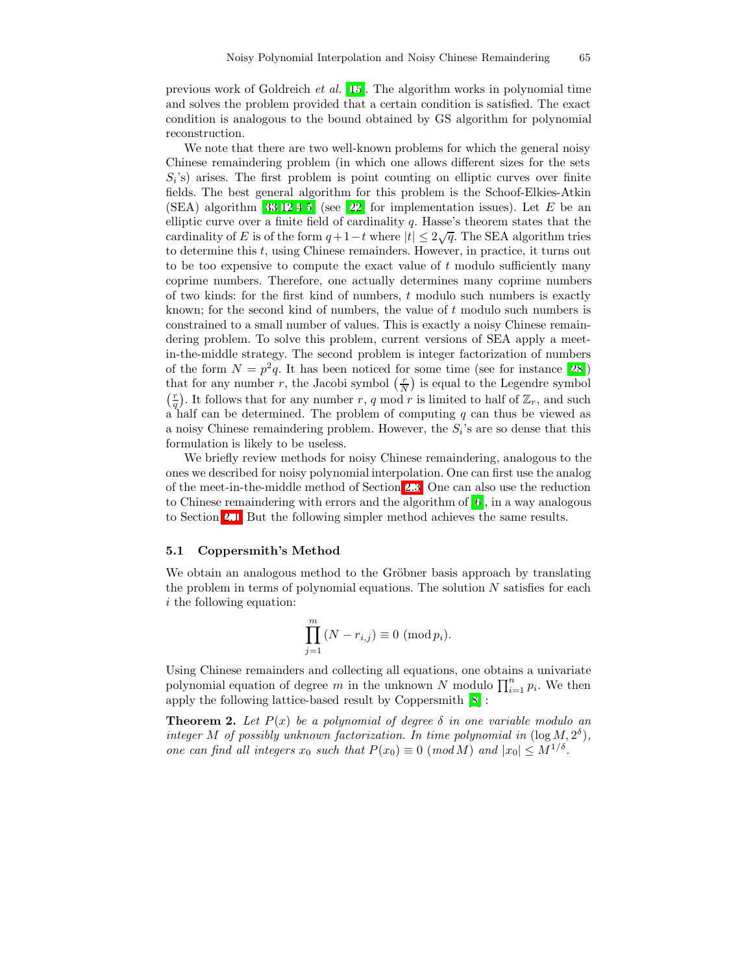previous work of Goldreich *et al.* [\[15\]](#page-15-13). The algorithm works in polynomial time and solves the problem provided that a certain condition is satisfied. The exact condition is analogous to the bound obtained by GS algorithm for polynomial reconstruction.

We note that there are two well-known problems for which the general noisy Chinese remaindering problem (in which one allows different sizes for the sets  $S_i$ 's) arises. The first problem is point counting on elliptic curves over finite fields. The best general algorithm for this problem is the Schoof-Elkies-Atkin (SEA) algorithm [\[33,](#page-16-13)[12](#page-15-14)[,4,](#page-15-15)[5\]](#page-15-16) (see [\[22\]](#page-16-14) for implementation issues). Let  $E$  be an elliptic curve over a finite field of cardinality  $q$ . Hasse's theorem states that the cardinality of E is of the form  $q+1-t$  where  $|t| \leq 2\sqrt{q}$ . The SEA algorithm tries to determine this t, using Chinese remainders. However, in practice, it turns out to be too expensive to compute the exact value of  $t$  modulo sufficiently many coprime numbers. Therefore, one actually determines many coprime numbers of two kinds: for the first kind of numbers,  $t$  modulo such numbers is exactly known; for the second kind of numbers, the value of t modulo such numbers is constrained to a small number of values. This is exactly a noisy Chinese remaindering problem. To solve this problem, current versions of SEA apply a meetin-the-middle strategy. The second problem is integer factorization of numbers of the form  $N = p^2q$ . It has been noticed for some time (see for instance [\[28\]](#page-16-15)) that for any number r, the Jacobi symbol  $\left(\frac{r}{N}\right)$  is equal to the Legendre symbol  $\left(\frac{r}{q}\right)$ . It follows that for any number r, q mod r is limited to half of  $\mathbb{Z}_r$ , and such a half can be determined. The problem of computing  $q$  can thus be viewed as a noisy Chinese remaindering problem. However, the  $S_i$ 's are so dense that this formulation is likely to be useless.

We briefly review methods for noisy Chinese remaindering, analogous to the ones we described for noisy polynomial interpolation. One can first use the analog of the meet-in-the-middle method of Section [2.3.](#page-3-0) One can also use the reduction to Chinese remaindering with errors and the algorithm of [\[6\]](#page-15-6), in a way analogous to Section [2.1.](#page-2-0) But the following simpler method achieves the same results.

#### **5.1 Coppersmith's Method**

We obtain an analogous method to the Gröbner basis approach by translating the problem in terms of polynomial equations. The solution N satisfies for each i the following equation:

$$
\prod_{j=1}^{m} (N - r_{i,j}) \equiv 0 \; (\text{mod } p_i).
$$

Using Chinese remainders and collecting all equations, one obtains a univariate polynomial equation of degree m in the unknown N modulo  $\prod_{i=1}^{n} p_i$ . We then apply the following lattice-based result by Coppersmith [\[8\]](#page-15-17) :

**Theorem 2.** Let  $P(x)$  be a polynomial of degree  $\delta$  in one variable modulo an *integer* M of possibly unknown factorization. In time polynomial in  $(\log M, 2^{\delta})$ , *one can find all integers*  $x_0$  *such that*  $P(x_0) \equiv 0 \pmod{M}$  *and*  $|x_0| \leq M^{1/\delta}$ .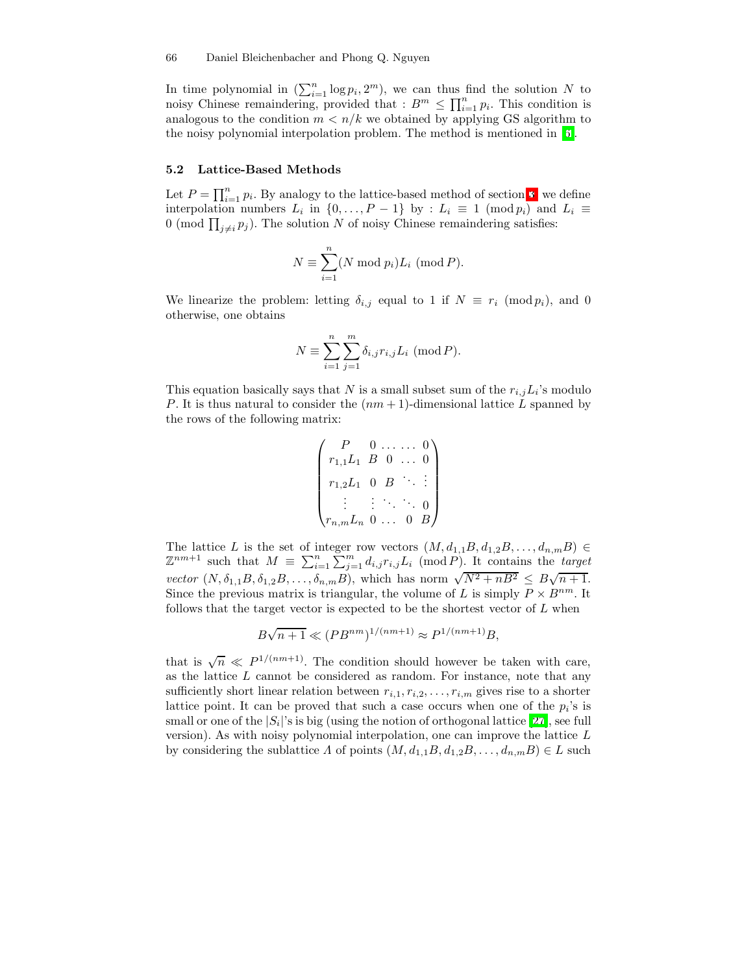In time polynomial in  $(\sum_{i=1}^n \log p_i, 2^m)$ , we can thus find the solution N to noisy Chinese remaindering, provided that :  $B^m \n\t\leq \prod_{i=1}^n p_i$ . This condition is analogous to the condition  $m < n/k$  we obtained by applying GS algorithm to the noisy polynomial interpolation problem. The method is mentioned in  $[6]$  $[6]$ .

#### **5.2 Lattice-Based Methods**

Let  $P = \prod_{i=1}^{n} p_i$ . By analogy to the lattice-based method of section [3,](#page-4-0) we define interpolation numbers  $L_i$  in  $\{0,\ldots,P-1\}$  by :  $L_i \equiv 1 \pmod{p_i}$  and  $L_i \equiv$ 0 (mod  $\prod_{j\neq i} p_j$ ). The solution N of noisy Chinese remaindering satisfies:

$$
N \equiv \sum_{i=1}^{n} (N \bmod p_i) L_i \pmod{P}.
$$

We linearize the problem: letting  $\delta_{i,j}$  equal to 1 if  $N \equiv r_i \pmod{p_i}$ , and 0 otherwise, one obtains

$$
N \equiv \sum_{i=1}^{n} \sum_{j=1}^{m} \delta_{i,j} r_{i,j} L_i \; (\text{mod } P).
$$

This equation basically says that N is a small subset sum of the  $r_{i,j}L_i$ 's modulo P. It is thus natural to consider the  $(nm + 1)$ -dimensional lattice L spanned by the rows of the following matrix:

$$
\begin{pmatrix}\nP & 0 & \dots & \dots & 0 \\
r_{1,1}L_1 & B & 0 & \dots & 0 \\
r_{1,2}L_1 & 0 & B & \ddots & \vdots \\
\vdots & \vdots & \ddots & \ddots & 0 \\
r_{n,m}L_n & 0 & \dots & 0 & B\n\end{pmatrix}
$$

The lattice L is the set of integer row vectors  $(M, d_{1,1}B, d_{1,2}B, \ldots, d_{n,m}B) \in$  $\mathbb{Z}^{nm+1}$  such that  $M \equiv \sum_{i=1}^{n} \sum_{j=1}^{m} d_{i,j} r_{i,j} L_i \pmod{P}$ . It contains the *target vector*  $(N, \delta_{1,1}B, \delta_{1,2}B, \ldots, \delta_{n,m}B)$ , which has norm  $\sqrt{N^2 + nB^2} \leq B\sqrt{n+1}$ . Since the previous matrix is triangular, the volume of L is simply  $P \times B^{nm}$ . It follows that the target vector is expected to be the shortest vector of  $L$  when

$$
B\sqrt{n+1} \ll (PB^{nm})^{1/(nm+1)} \approx P^{1/(nm+1)}B
$$

that is  $\sqrt{n} \ll P^{1/(nm+1)}$ . The condition should however be taken with care, as the lattice  $L$  cannot be considered as random. For instance, note that any sufficiently short linear relation between  $r_{i,1}, r_{i,2}, \ldots, r_{i,m}$  gives rise to a shorter lattice point. It can be proved that such a case occurs when one of the  $p_i$ 's is small or one of the  $|S_i|$ 's is big (using the notion of orthogonal lattice [\[27\]](#page-16-16), see full version). As with noisy polynomial interpolation, one can improve the lattice L by considering the sublattice  $\Lambda$  of points  $(M, d_{1,1}B, d_{1,2}B, \ldots, d_{n,m}B) \in L$  such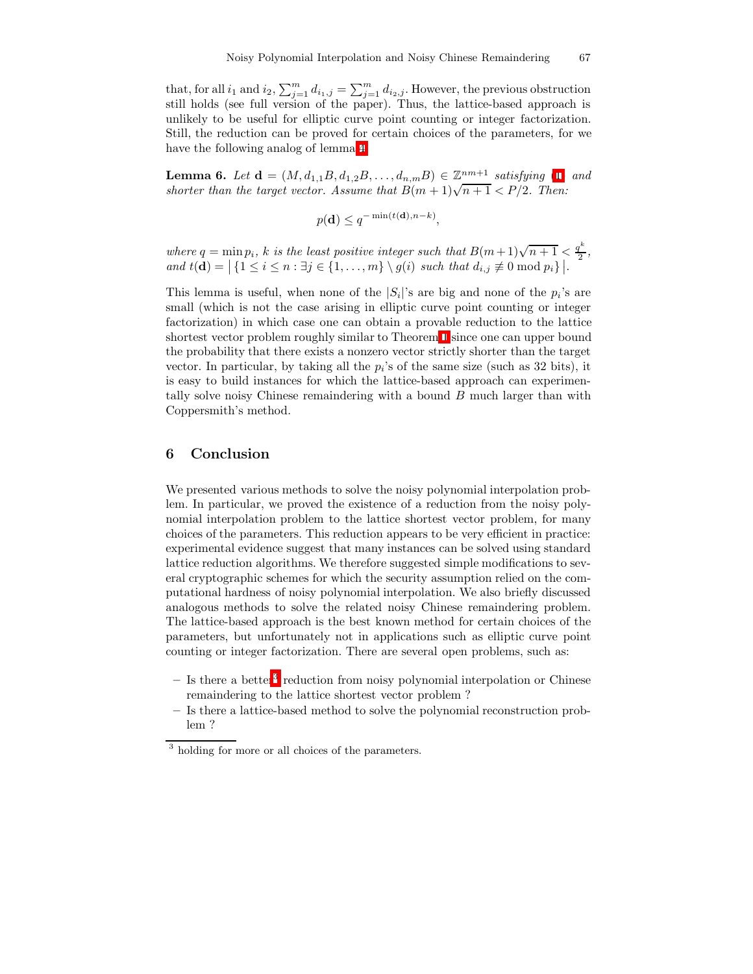that, for all  $i_1$  and  $i_2$ ,  $\sum_{j=1}^m d_{i_1,j} = \sum_{j=1}^m d_{i_2,j}$ . However, the previous obstruction still holds (see full version of the paper). Thus, the lattice-based approach is unlikely to be useful for elliptic curve point counting or integer factorization. Still, the reduction can be proved for certain choices of the parameters, for we have the following analog of lemma [4.](#page-8-1)

**Lemma 6.** *Let*  $d = (M, d_{1,1}B, d_{1,2}B, \ldots, d_{n,m}B) \in \mathbb{Z}^{nm+1}$  *satisfying* [\(1\)](#page-7-0) *and shorter than the target vector. Assume that*  $B(m+1)\sqrt{n+1} < P/2$ . Then:

$$
p(\mathbf{d}) \le q^{-\min(t(\mathbf{d}), n-k)},
$$

*where*  $q = \min_i p_i$ *, k is the least positive integer such that*  $B(m+1)\sqrt{n+1} < \frac{q^k}{2}$ *, and*  $t(\mathbf{d}) = |\{1 \leq i \leq n : \exists j \in \{1, ..., m\} \setminus g(i) \text{ such that } d_{i,j} \not\equiv 0 \text{ mod } p_i\}|.$ 

This lemma is useful, when none of the  $|S_i|$ 's are big and none of the  $p_i$ 's are small (which is not the case arising in elliptic curve point counting or integer factorization) in which case one can obtain a provable reduction to the lattice shortest vector problem roughly similar to Theorem [1](#page-8-0) since one can upper bound the probability that there exists a nonzero vector strictly shorter than the target vector. In particular, by taking all the  $p_i$ 's of the same size (such as 32 bits), it is easy to build instances for which the lattice-based approach can experimentally solve noisy Chinese remaindering with a bound  $B$  much larger than with Coppersmith's method.

### **6 Conclusion**

We presented various methods to solve the noisy polynomial interpolation problem. In particular, we proved the existence of a reduction from the noisy polynomial interpolation problem to the lattice shortest vector problem, for many choices of the parameters. This reduction appears to be very efficient in practice: experimental evidence suggest that many instances can be solved using standard lattice reduction algorithms. We therefore suggested simple modifications to several cryptographic schemes for which the security assumption relied on the computational hardness of noisy polynomial interpolation. We also briefly discussed analogous methods to solve the related noisy Chinese remaindering problem. The lattice-based approach is the best known method for certain choices of the parameters, but unfortunately not in applications such as elliptic curve point counting or integer factorization. There are several open problems, such as:

- **–** Is there a better[3](#page-14-0) reduction from noisy polynomial interpolation or Chinese remaindering to the lattice shortest vector problem ?
- **–** Is there a lattice-based method to solve the polynomial reconstruction problem ?

<span id="page-14-0"></span><sup>&</sup>lt;sup>3</sup> holding for more or all choices of the parameters.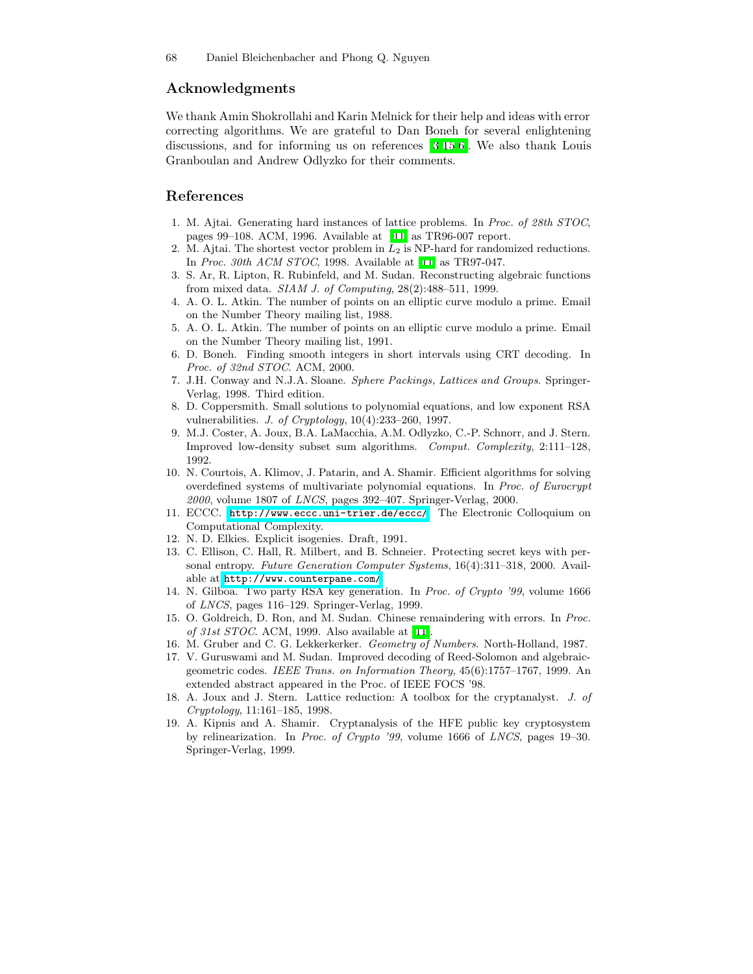# **Acknowledgments**

We thank Amin Shokrollahi and Karin Melnick for their help and ideas with error correcting algorithms. We are grateful to Dan Boneh for several enlightening discussions, and for informing us on references [\[3](#page-15-2)[,15,](#page-15-13)[6\]](#page-15-6). We also thank Louis Granboulan and Andrew Odlyzko for their comments.

## <span id="page-15-11"></span>**References**

- 1. M. Ajtai. Generating hard instances of lattice problems. In Proc. of 28th STOC, pages 99–108. ACM, 1996. Available at [\[11\]](#page-15-18) as TR96-007 report.
- <span id="page-15-4"></span>2. M. Ajtai. The shortest vector problem in  $L_2$  is NP-hard for randomized reductions. In Proc. 30th ACM STOC, 1998. Available at [\[11\]](#page-15-18) as TR97-047.
- <span id="page-15-2"></span>3. S. Ar, R. Lipton, R. Rubinfeld, and M. Sudan. Reconstructing algebraic functions from mixed data. SIAM J. of Computing, 28(2):488–511, 1999.
- <span id="page-15-15"></span>4. A. O. L. Atkin. The number of points on an elliptic curve modulo a prime. Email on the Number Theory mailing list, 1988.
- <span id="page-15-16"></span>5. A. O. L. Atkin. The number of points on an elliptic curve modulo a prime. Email on the Number Theory mailing list, 1991.
- <span id="page-15-6"></span>6. D. Boneh. Finding smooth integers in short intervals using CRT decoding. In Proc. of 32nd STOC. ACM, 2000.
- <span id="page-15-12"></span>7. J.H. Conway and N.J.A. Sloane. Sphere Packings, Lattices and Groups. Springer-Verlag, 1998. Third edition.
- <span id="page-15-17"></span>8. D. Coppersmith. Small solutions to polynomial equations, and low exponent RSA vulnerabilities. J. of Cryptology, 10(4):233–260, 1997.
- <span id="page-15-3"></span>9. M.J. Coster, A. Joux, B.A. LaMacchia, A.M. Odlyzko, C.-P. Schnorr, and J. Stern. Improved low-density subset sum algorithms. Comput. Complexity, 2:111–128, 1992.
- <span id="page-15-8"></span>10. N. Courtois, A. Klimov, J. Patarin, and A. Shamir. Efficient algorithms for solving overdefined systems of multivariate polynomial equations. In Proc. of Eurocrypt  $2000$ , volume 1807 of *LNCS*, pages 392-407. Springer-Verlag, 2000.
- <span id="page-15-18"></span>11. ECCC. <http://www.eccc.uni-trier.de/eccc/>. The Electronic Colloquium on Computational Complexity.
- <span id="page-15-14"></span><span id="page-15-5"></span>12. N. D. Elkies. Explicit isogenies. Draft, 1991.
- 13. C. Ellison, C. Hall, R. Milbert, and B. Schneier. Protecting secret keys with personal entropy. Future Generation Computer Systems, 16(4):311–318, 2000. Available at <http://www.counterpane.com/>.
- <span id="page-15-0"></span>14. N. Gilboa. Two party RSA key generation. In Proc. of Crypto '99, volume 1666 of LNCS, pages 116–129. Springer-Verlag, 1999.
- <span id="page-15-13"></span>15. O. Goldreich, D. Ron, and M. Sudan. Chinese remaindering with errors. In Proc. of 31st STOC. ACM, 1999. Also available at [\[11\]](#page-15-18).
- <span id="page-15-9"></span><span id="page-15-1"></span>16. M. Gruber and C. G. Lekkerkerker. Geometry of Numbers. North-Holland, 1987.
- 17. V. Guruswami and M. Sudan. Improved decoding of Reed-Solomon and algebraicgeometric codes. IEEE Trans. on Information Theory, 45(6):1757–1767, 1999. An extended abstract appeared in the Proc. of IEEE FOCS '98.
- <span id="page-15-10"></span>18. A. Joux and J. Stern. Lattice reduction: A toolbox for the cryptanalyst. J. of Cryptology, 11:161–185, 1998.
- <span id="page-15-7"></span>19. A. Kipnis and A. Shamir. Cryptanalysis of the HFE public key cryptosystem by relinearization. In Proc. of Crypto '99, volume 1666 of LNCS, pages 19–30. Springer-Verlag, 1999.